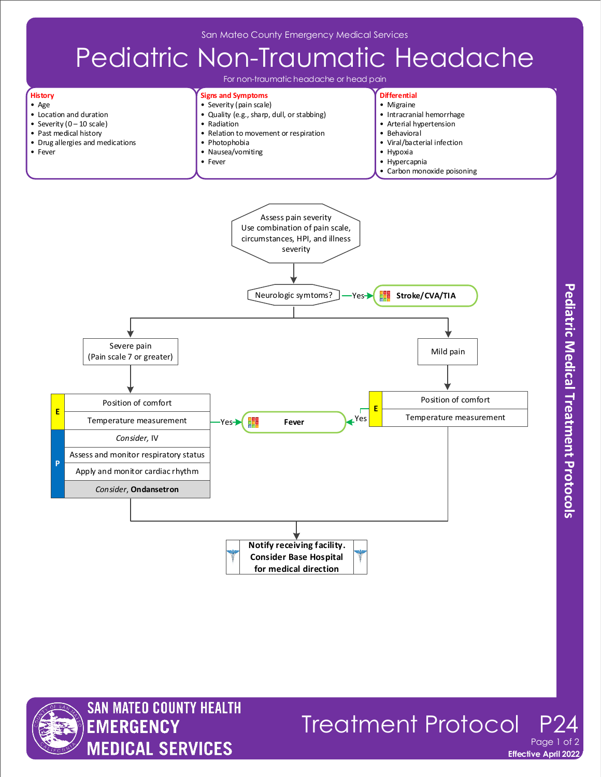